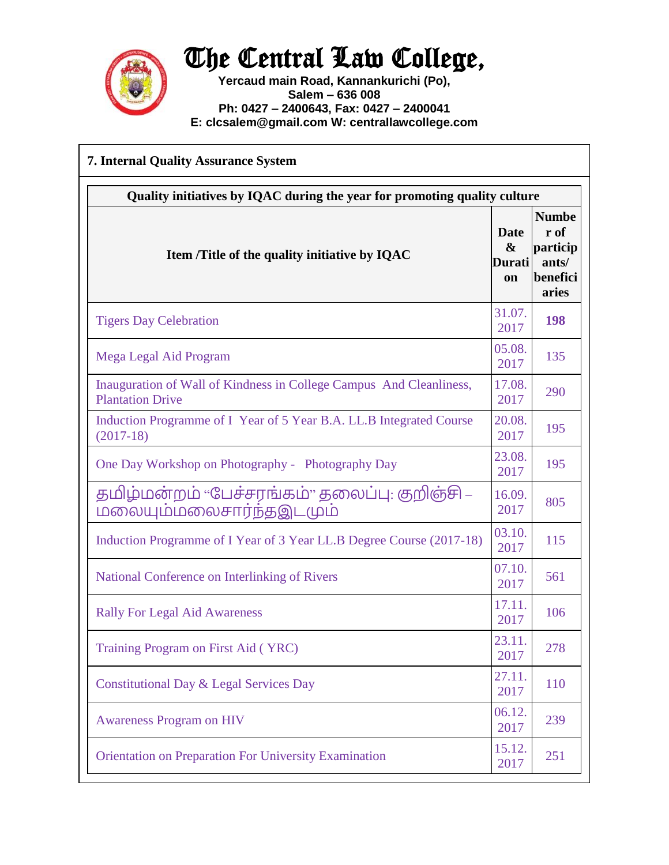

## The Central Law College,

**Yercaud main Road, Kannankurichi (Po), Salem – 636 008 Ph: 0427 – 2400643, Fax: 0427 – 2400041 E: clcsalem@gmail.com W: centrallawcollege.com**

| <b>7. Internal Quality Assurance System</b>                                                    |                                                  |                                                                |  |
|------------------------------------------------------------------------------------------------|--------------------------------------------------|----------------------------------------------------------------|--|
| Quality initiatives by IQAC during the year for promoting quality culture                      |                                                  |                                                                |  |
| Item /Title of the quality initiative by IQAC                                                  | Date<br>$\boldsymbol{\&}$<br>Durati<br><b>on</b> | <b>Numbe</b><br>r of<br>particip<br>ants/<br>benefici<br>aries |  |
| <b>Tigers Day Celebration</b>                                                                  | 31.07.<br>2017                                   | 198                                                            |  |
| Mega Legal Aid Program                                                                         | 05.08.<br>2017                                   | 135                                                            |  |
| Inauguration of Wall of Kindness in College Campus And Cleanliness,<br><b>Plantation Drive</b> | 17.08.<br>2017                                   | 290                                                            |  |
| Induction Programme of I Year of 5 Year B.A. LL.B Integrated Course<br>$(2017-18)$             | 20.08.<br>2017                                   | 195                                                            |  |
| One Day Workshop on Photography - Photography Day                                              | 23.08.<br>2017                                   | 195                                                            |  |
| தமிழ்மன்றம் "பேச்சரங்கம்" தலைப்பு: குறிஞ்சி –<br>மலையும்மலைசார்ந்தஇடமும்                       | 16.09.<br>2017                                   | 805                                                            |  |
| Induction Programme of I Year of 3 Year LL.B Degree Course (2017-18)                           | 03.10.<br>2017                                   | 115                                                            |  |
| National Conference on Interlinking of Rivers                                                  | 07.10.<br>2017                                   | 561                                                            |  |
| <b>Rally For Legal Aid Awareness</b>                                                           | 17.11.<br>2017                                   | 106                                                            |  |
| Training Program on First Aid (YRC)                                                            | 23.11.<br>2017                                   | 278                                                            |  |
| <b>Constitutional Day &amp; Legal Services Day</b>                                             | 27.11.<br>2017                                   | 110                                                            |  |
| <b>Awareness Program on HIV</b>                                                                | 06.12.<br>2017                                   | 239                                                            |  |
| <b>Orientation on Preparation For University Examination</b>                                   | 15.12.<br>2017                                   | 251                                                            |  |